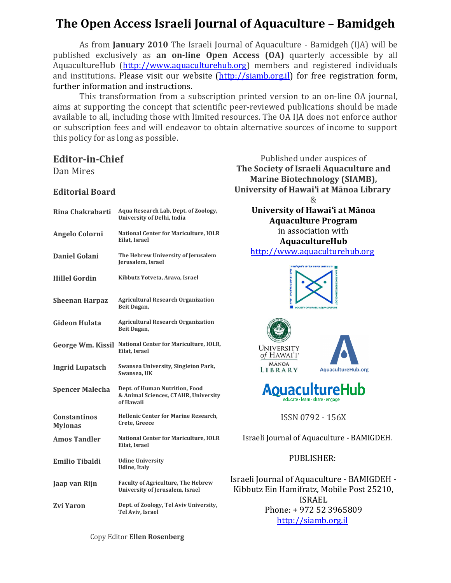# **The Open Access Israeli Journal of Aquaculture – Bamidgeh**

As from **January 2010** The Israeli Journal of Aquaculture - Bamidgeh (IJA) will be published exclusively as **an on-line Open Access (OA)** quarterly accessible by all AquacultureHub (http://www.aquaculturehub.org) members and registered individuals and institutions. Please visit our website (http://siamb.org.il) for free registration form, further information and instructions.

This transformation from a subscription printed version to an on-line OA journal, aims at supporting the concept that scientific peer-reviewed publications should be made available to all, including those with limited resources. The OA IJA does not enforce author or subscription fees and will endeavor to obtain alternative sources of income to support this policy for as long as possible.

# **Editor-in-Chief**

Dan Mires

### **Editorial Board**

| Rina Chakrabarti                      | Aqua Research Lab, Dept. of Zoology,<br>University of Delhi, India                  |
|---------------------------------------|-------------------------------------------------------------------------------------|
| <b>Angelo Colorni</b>                 | <b>National Center for Mariculture, IOLR</b><br>Eilat, Israel                       |
| Daniel Golani                         | The Hebrew University of Jerusalem<br>Jerusalem, Israel                             |
| <b>Hillel Gordin</b>                  | Kibbutz Yotveta, Arava, Israel                                                      |
| <b>Sheenan Harpaz</b>                 | <b>Agricultural Research Organization</b><br>Beit Dagan,                            |
| Gideon Hulata                         | <b>Agricultural Research Organization</b><br>Beit Dagan,                            |
| <b>George Wm. Kissil</b>              | National Center for Mariculture, IOLR,<br>Eilat, Israel                             |
| <b>Ingrid Lupatsch</b>                | Swansea University, Singleton Park,<br>Swansea, UK                                  |
| <b>Spencer Malecha</b>                | Dept. of Human Nutrition, Food<br>& Animal Sciences, CTAHR, University<br>of Hawaii |
| <b>Constantinos</b><br><b>Mylonas</b> | Hellenic Center for Marine Research,<br>Crete, Greece                               |
| <b>Amos Tandler</b>                   | <b>National Center for Mariculture, IOLR</b><br>Eilat, Israel                       |
| <b>Emilio Tibaldi</b>                 | <b>Udine University</b><br><b>Udine</b> , Italy                                     |
| Jaap van Rijn                         | <b>Faculty of Agriculture, The Hebrew</b><br>University of Jerusalem, Israel        |
| Zvi Yaron                             | Dept. of Zoology, Tel Aviv University,<br>Tel Aviv, Israel                          |

Published under auspices of **The Society of Israeli Aquaculture and Marine Biotechnology (SIAMB), University of Hawai**Ʉ**i at Mānoa Library**   $\&$ **University of Hawai**Ʉ**i at Mānoa Aquaculture Program** in association with **AquacultureHub**  http://www.aquaculturehub.org







# <u>QuacultureHub</u> educate • learn • share • engage

ISSN 0792 - 156X

Israeli Journal of Aquaculture - BAMIGDEH.

## PUBLISHER:

Israeli Journal of Aquaculture - BAMIGDEH - Kibbutz Ein Hamifratz, Mobile Post 25210, ISRAEL Phone: + 972 52 3965809 http://siamb.org.il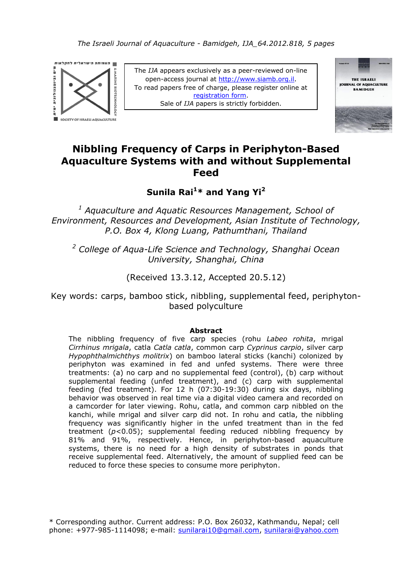

The *IJA* appears exclusively as a peer-reviewed on-line open-access journal at [http://www.siamb.org.il](http://www.siamb.org.il/). To read papers free of charge, please register online at [registration form.](https://ssl-atpay.com/atpay/ssl/site/order.asp?lan=en) Sale of *IJA* papers is strictly forbidden.



# **Nibbling Frequency of Carps in Periphyton-Based Aquaculture Systems with and without Supplemental Feed**

**Sunila Rai<sup>1</sup>\* and Yang Yi<sup>2</sup>**

*<sup>1</sup> Aquaculture and Aquatic Resources Management, School of Environment, Resources and Development, Asian Institute of Technology, P.O. Box 4, Klong Luang, Pathumthani, Thailand*

*<sup>2</sup> College of Aqua-Life Science and Technology, Shanghai Ocean University, Shanghai, China*

(Received 13.3.12, Accepted 20.5.12)

Key words: carps, bamboo stick, nibbling, supplemental feed, periphytonbased polyculture

### **Abstract**

The nibbling frequency of five carp species (rohu *Labeo rohita*, mrigal *Cirrhinus mrigala*, catla *Catla catla*, common carp *Cyprinus carpio*, silver carp *Hypophthalmichthys molitrix*) on bamboo lateral sticks (kanchi) colonized by periphyton was examined in fed and unfed systems. There were three treatments: (a) no carp and no supplemental feed (control), (b) carp without supplemental feeding (unfed treatment), and (c) carp with supplemental feeding (fed treatment). For 12 h (07:30-19:30) during six days, nibbling behavior was observed in real time via a digital video camera and recorded on a camcorder for later viewing. Rohu, catla, and common carp nibbled on the kanchi, while mrigal and silver carp did not. In rohu and catla, the nibbling frequency was significantly higher in the unfed treatment than in the fed treatment (*p*<0.05); supplemental feeding reduced nibbling frequency by 81% and 91%, respectively. Hence, in periphyton-based aquaculture systems, there is no need for a high density of substrates in ponds that receive supplemental feed. Alternatively, the amount of supplied feed can be reduced to force these species to consume more periphyton.

\* Corresponding author. Current address: P.O. Box 26032, Kathmandu, Nepal; cell phone: +977-985-1114098; e-mail: sunilarai10@gmail.com, sunilarai@yahoo.com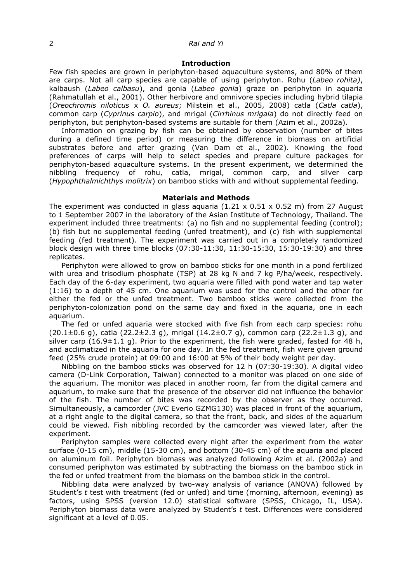### 2 *Rai and Yi*

#### **Introduction**

Few fish species are grown in periphyton-based aquaculture systems, and 80% of them are carps. Not all carp species are capable of using periphyton. Rohu (*Labeo rohita)*, kalbaush (*Labeo calbasu*), and gonia (*Labeo gonia*) graze on periphyton in aquaria (Rahmatullah et al., 2001). Other herbivore and omnivore species including hybrid tilapia (*Oreochromis niloticus* x *O. aureus*; Milstein et al., 2005, 2008) catla (*Catla catla*), common carp (*Cyprinus carpio*), and mrigal (*Cirrhinus mrigala*) do not directly feed on periphyton, but periphyton-based systems are suitable for them (Azim et al., 2002a).

Information on grazing by fish can be obtained by observation (number of bites during a defined time period) or measuring the difference in biomass on artificial substrates before and after grazing (Van Dam et al., 2002). Knowing the food preferences of carps will help to select species and prepare culture packages for periphyton-based aquaculture systems. In the present experiment, we determined the nibbling frequency of rohu, catla, mrigal, common carp, and silver carp (*Hypophthalmichthys molitrix*) on bamboo sticks with and without supplemental feeding.

#### **Materials and Methods**

The experiment was conducted in glass aquaria (1.21  $\times$  0.51  $\times$  0.52 m) from 27 August to 1 September 2007 in the laboratory of the Asian Institute of Technology, Thailand. The experiment included three treatments: (a) no fish and no supplemental feeding (control); (b) fish but no supplemental feeding (unfed treatment), and (c) fish with supplemental feeding (fed treatment). The experiment was carried out in a completely randomized block design with three time blocks (07:30-11:30, 11:30-15:30, 15:30-19:30) and three replicates.

Periphyton were allowed to grow on bamboo sticks for one month in a pond fertilized with urea and trisodium phosphate (TSP) at 28 kg N and 7 kg P/ha/week, respectively. Each day of the 6-day experiment, two aquaria were filled with pond water and tap water (1:16) to a depth of 45 cm. One aquarium was used for the control and the other for either the fed or the unfed treatment. Two bamboo sticks were collected from the periphyton-colonization pond on the same day and fixed in the aquaria, one in each aquarium.

The fed or unfed aquaria were stocked with five fish from each carp species: rohu  $(20.1 \pm 0.6 \text{ q})$ , catla  $(22.2 \pm 2.3 \text{ q})$ , mrigal  $(14.2 \pm 0.7 \text{ q})$ , common carp  $(22.2 \pm 1.3 \text{ q})$ , and silver carp  $(16.9\pm1.1 \text{ q})$ . Prior to the experiment, the fish were graded, fasted for 48 h, and acclimatized in the aquaria for one day. In the fed treatment, fish were given ground feed (25% crude protein) at 09:00 and 16:00 at 5% of their body weight per day.

Nibbling on the bamboo sticks was observed for 12 h (07:30-19:30). A digital video camera (D-Link Corporation, Taiwan) connected to a monitor was placed on one side of the aquarium. The monitor was placed in another room, far from the digital camera and aquarium, to make sure that the presence of the observer did not influence the behavior of the fish. The number of bites was recorded by the observer as they occurred. Simultaneously, a camcorder (JVC Everio GZMG130) was placed in front of the aquarium, at a right angle to the digital camera, so that the front, back, and sides of the aquarium could be viewed. Fish nibbling recorded by the camcorder was viewed later, after the experiment.

Periphyton samples were collected every night after the experiment from the water surface (0-15 cm), middle (15-30 cm), and bottom (30-45 cm) of the aquaria and placed on aluminum foil. Periphyton biomass was analyzed following Azim et al. (2002a) and consumed periphyton was estimated by subtracting the biomass on the bamboo stick in the fed or unfed treatment from the biomass on the bamboo stick in the control.

Nibbling data were analyzed by two-way analysis of variance (ANOVA) followed by Student's *t* test with treatment (fed or unfed) and time (morning, afternoon, evening) as factors, using SPSS (version 12.0) statistical software (SPSS, Chicago, IL, USA). Periphyton biomass data were analyzed by Student's *t* test. Differences were considered significant at a level of 0.05.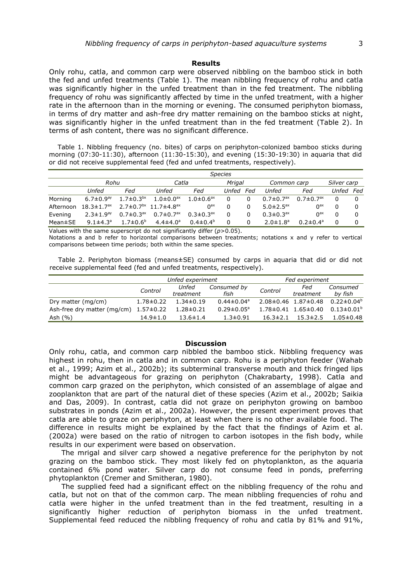#### **Results**

Only rohu, catla, and common carp were observed nibbling on the bamboo stick in both the fed and unfed treatments (Table 1). The mean nibbling frequency of rohu and catla was significantly higher in the unfed treatment than in the fed treatment. The nibbling frequency of rohu was significantly affected by time in the unfed treatment, with a higher rate in the afternoon than in the morning or evening. The consumed periphyton biomass, in terms of dry matter and ash-free dry matter remaining on the bamboo sticks at night, was significantly higher in the unfed treatment than in the fed treatment (Table 2). In terms of ash content, there was no significant difference.

 Table 1. Nibbling frequency (no. bites) of carps on periphyton-colonized bamboo sticks during morning (07:30-11:30), afternoon (11:30-15:30), and evening (15:30-19:30) in aquaria that did or did not receive supplemental feed (fed and unfed treatments, respectively).

|               | <b>Species</b>               |                             |                                     |                             |        |     |                             |                             |             |  |
|---------------|------------------------------|-----------------------------|-------------------------------------|-----------------------------|--------|-----|-----------------------------|-----------------------------|-------------|--|
|               | Rohu                         |                             | Catla                               |                             | Mrigal |     | Common carp                 |                             | Silver carp |  |
|               | Unfed                        | Fed                         | Unfed                               | Fed                         | Unfed  | Fed | Unfed                       | Fed                         | Unfed Fed   |  |
| Morning       | 6.7 $\pm$ 0.9 <sup>ay</sup>  | $1.7 \pm 0.3^{bx}$          | $1.0\pm0.0$ <sup>ax</sup>           | $1.0 \pm 0.6$ <sup>ax</sup> |        | 0   | $0.7 \pm 0.7$ <sup>ax</sup> | $0.7 \pm 0.7$ <sup>ax</sup> | O           |  |
| Afternoon     | $18.3 \pm 1.7$ <sup>ax</sup> |                             | $2.7\pm0.7^{bx}$ 11.7 $\pm4.8^{ax}$ | 0 <sup>ax</sup>             |        | 0   | 5.0 $\pm$ 2.5 <sup>ax</sup> | 0 <sup>ax</sup>             | 0           |  |
| Evening       | $2.3 \pm 1.9$ <sup>ay</sup>  | $0.7 \pm 0.3$ <sup>ax</sup> | $0.7 \pm 0.7$ <sup>ax</sup>         | $0.3 \pm 0.3^{ax}$          | 0      |     | $0.3 \pm 0.3$ <sup>ax</sup> | 0 <sup>ax</sup>             | 0           |  |
| $Mean \pm SE$ | $9.1 \pm 4.3^a$              | $1.7 \pm 0.6^{\circ}$       | $4.4 \pm 4.0^a$                     | $0.4 \pm 0.4^b$             | U      | 0   | $2.0 \pm 1.8$ <sup>a</sup>  | $0.2 \pm 0.4^{\circ}$       | $\Omega$    |  |

Values with the same superscript do not significantly differ (*p*>0.05).

Notations a and b refer to horizontal comparisons between treatments; notations x and y refer to vertical comparisons between time periods; both within the same species.

 Table 2. Periphyton biomass (means±SE) consumed by carps in aquaria that did or did not receive supplemental feed (fed and unfed treatments, respectively).

|                             |                 | Unfed experiment |                              | Fed experiment |                                 |                   |  |
|-----------------------------|-----------------|------------------|------------------------------|----------------|---------------------------------|-------------------|--|
|                             | Control         | Unfed            | Consumed by                  | Control        | Fed                             | Consumed          |  |
|                             |                 | treatment        | fish                         |                | treatment                       | by fish           |  |
| Dry matter (mg/cm)          | $1.78 \pm 0.22$ | $1.34 \pm 0.19$  | $0.44 \pm 0.04$ <sup>a</sup> |                | $2.08 \pm 0.46$ 1.87 $\pm$ 0.48 | $0.22 \pm 0.04^b$ |  |
| Ash-free dry matter (mg/cm) | $1.57 \pm 0.22$ | $1.28 \pm 0.21$  | $0.29 \pm 0.05^{\circ}$      |                | $1.78 \pm 0.41$ $1.65 \pm 0.40$ | $0.13 \pm 0.01^b$ |  |
| Ash $(\% )$                 | $14.9 \pm 1.0$  | $13.6 \pm 1.4$   | $1.3 \pm 0.91$               | $16.3 \pm 2.1$ | $15.3 \pm 2.5$                  | $1.05 \pm 0.48$   |  |

### **Discussion**

Only rohu, catla, and common carp nibbled the bamboo stick. Nibbling frequency was highest in rohu, then in catla and in common carp. Rohu is a periphyton feeder (Wahab et al., 1999; Azim et al., 2002b); its subterminal transverse mouth and thick fringed lips might be advantageous for grazing on periphyton (Chakrabarty, 1998). Catla and common carp grazed on the periphyton, which consisted of an assemblage of algae and zooplankton that are part of the natural diet of these species (Azim et al., 2002b; Saikia and Das, 2009). In contrast, catla did not graze on periphyton growing on bamboo substrates in ponds (Azim et al., 2002a). However, the present experiment proves that catla are able to graze on periphyton, at least when there is no other available food. The difference in results might be explained by the fact that the findings of Azim et al. (2002a) were based on the ratio of nitrogen to carbon isotopes in the fish body, while results in our experiment were based on observation.

The mrigal and silver carp showed a negative preference for the periphyton by not grazing on the bamboo stick. They most likely fed on phytoplankton, as the aquaria contained 6% pond water. Silver carp do not consume feed in ponds, preferring phytoplankton (Cremer and Smitheran, 1980).

The supplied feed had a significant effect on the nibbling frequency of the rohu and catla, but not on that of the common carp. The mean nibbling frequencies of rohu and catla were higher in the unfed treatment than in the fed treatment, resulting in a significantly higher reduction of periphyton biomass in the unfed treatment. Supplemental feed reduced the nibbling frequency of rohu and catla by 81% and 91%,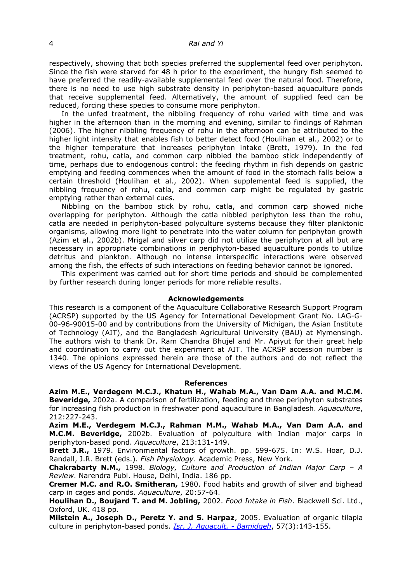### 4 *Rai and Yi*

respectively, showing that both species preferred the supplemental feed over periphyton. Since the fish were starved for 48 h prior to the experiment, the hungry fish seemed to have preferred the readily-available supplemental feed over the natural food. Therefore, there is no need to use high substrate density in periphyton-based aquaculture ponds that receive supplemental feed. Alternatively, the amount of supplied feed can be reduced, forcing these species to consume more periphyton.

In the unfed treatment, the nibbling frequency of rohu varied with time and was higher in the afternoon than in the morning and evening, similar to findings of Rahman (2006). The higher nibbling frequency of rohu in the afternoon can be attributed to the higher light intensity that enables fish to better detect food (Houlihan et al., 2002) or to the higher temperature that increases periphyton intake (Brett, 1979). In the fed treatment, rohu, catla, and common carp nibbled the bamboo stick independently of time, perhaps due to endogenous control: the feeding rhythm in fish depends on gastric emptying and feeding commences when the amount of food in the stomach falls below a certain threshold (Houlihan et al., 2002). When supplemental feed is supplied, the nibbling frequency of rohu, catla, and common carp might be regulated by gastric emptying rather than external cues**.**

Nibbling on the bamboo stick by rohu, catla, and common carp showed niche overlapping for periphyton. Although the catla nibbled periphyton less than the rohu, catla are needed in periphyton-based polyculture systems because they filter planktonic organisms, allowing more light to penetrate into the water column for periphyton growth (Azim et al., 2002b). Mrigal and silver carp did not utilize the periphyton at all but are necessary in appropriate combinations in periphyton-based aquaculture ponds to utilize detritus and plankton. Although no intense interspecific interactions were observed among the fish, the effects of such interactions on feeding behavior cannot be ignored.

This experiment was carried out for short time periods and should be complemented by further research during longer periods for more reliable results.

#### **Acknowledgements**

This research is a component of the Aquaculture Collaborative Research Support Program (ACRSP) supported by the US Agency for International Development Grant No. LAG-G-00-96-90015-00 and by contributions from the University of Michigan, the Asian Institute of Technology (AIT), and the Bangladesh Agricultural University (BAU) at Mymensingh. The authors wish to thank Dr. Ram Chandra Bhujel and Mr. Apiyut for their great help and coordination to carry out the experiment at AIT. The ACRSP accession number is 1340. The opinions expressed herein are those of the authors and do not reflect the views of the US Agency for International Development.

#### **References**

**Azim M.E., Verdegem M.C.J., Khatun H., Wahab M.A., Van Dam A.A. and M.C.M. Beveridge,** 2002a. A comparison of fertilization, feeding and three periphyton substrates for increasing fish production in freshwater pond aquaculture in Bangladesh. *Aquaculture*, 212:227-243.

**Azim M.E., Verdegem M.C.J., Rahman M.M., Wahab M.A., Van Dam A.A. and M.C.M. Beveridge,** 2002b. Evaluation of polyculture with Indian major carps in periphyton-based pond. *Aquaculture*, 213:131-149.

**Brett J.R.,** 1979. Environmental factors of growth. pp. 599-675. In: W.S. Hoar, D.J. Randall, J.R. Brett (eds.). *Fish Physiology*. Academic Press, New York.

**Chakrabarty N.M.,** 1998. *Biology, Culture and Production of Indian Major Carp – A Review*. Narendra Publ. House, Delhi, India. 186 pp.

**Cremer M.C. and R.O. Smitheran,** 1980. Food habits and growth of silver and bighead carp in cages and ponds. *Aquaculture*, 20:57-64.

**Houlihan D., Boujard T. and M. Jobling,** 2002. *Food Intake in Fish*. Blackwell Sci. Ltd., Oxford, UK. 418 pp.

**Milstein A., Joseph D., Peretz Y. and S. Harpaz**, 2005. Evaluation of organic tilapia culture in periphyton-based ponds. *Isr. J. [Aquacult. -](http://www.siamb.org.il/uploads/57_3_milstein_abs.pdf) Bamidgeh*, 57(3):143-155.